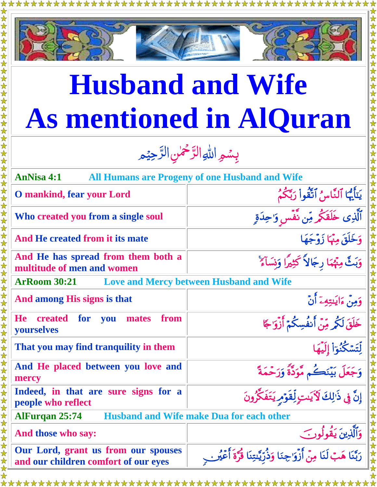

## **Husband and Wife As mentioned in AlQuran**

## بِسُمِ اللهِ الرَّحْمٰنِ الرَّحِيْمِ <u>ú</u> رّ  $\frac{1}{2}$ رّ

| <b>AnNisa 4:1</b><br><b>All Humans are Progeny of one Husband and Wife</b>  |                                                                          |  |
|-----------------------------------------------------------------------------|--------------------------------------------------------------------------|--|
| <b>O</b> mankind, fear your Lord                                            | يَتَأَيُّهَا ٱلنَّاسُ ٱتَّقُواْ رَبَّكُمُ                                |  |
| Who created you from a single soul                                          | ٱلَّذِى خَلَقَكُمْ مِّن نَّفْسٍ وَ'حِدَةٍ                                |  |
| And He created from it its mate                                             | وَخَلَقَ مِنْهَا زَوْجَهَا                                               |  |
| And He has spread from them both a<br>multitude of men and women            | وَبَثَّ مِنْهُمَا رِجَالاً كَثِيرًا وَنسَاءً ۚ                           |  |
| <b>Love and Mercy between Husband and Wife</b><br><b>ArRoom 30:21</b>       |                                                                          |  |
| And among His signs is that                                                 | وَمِنْ ءَايَنتِهِۦَ أَنْ                                                 |  |
| <b>He</b><br>from<br><b>created for you</b><br>mates<br>yourselves          | خَلَقَ لَكُمْ مِّنْ أَنفُسِكُمْ أَزْوَ'جًا                               |  |
| That you may find tranquility in them                                       | لِّتَسَكُّنُوٓاْ إِلَيْهَا                                               |  |
| And He placed between you love and<br>mercy                                 | وَجَعَلَ بَيْنَكُم مَّوَدَّةً وَرَحْمَةً                                 |  |
| Indeed, in that are sure signs for a<br>people who reflect                  | إِنَّ فِي ذَٰٰزِلكَ لَأَيَىتٍ لِّقَوۡمِ يَتَفَكَّرُونَ                   |  |
| <b>Husband and Wife make Dua for each other</b><br><b>AlFurqan 25:74</b>    |                                                                          |  |
| And those who say:                                                          | وَٱلَّٰٓذِينَ يَقُولُونَ                                                 |  |
| Our Lord, grant us from our spouses<br>and our children comfort of our eyes | رَبَّنَا هَبْ لَنَا مِنْ أَزْوَاجِنَا وَذُرِّيَّتِنَا قُرَّةَ أَعْيُرٍ . |  |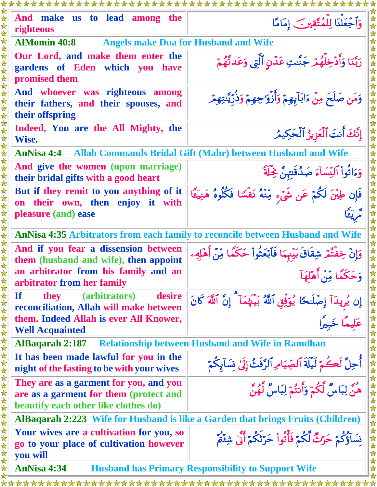| And make us to lead among the<br>righteous                                                                               | وَٱجْعَلْنَا لِلْمُتَّقِينَ إِمَامًا                                                          |  |  |
|--------------------------------------------------------------------------------------------------------------------------|-----------------------------------------------------------------------------------------------|--|--|
| <b>AlMomin 40:8</b>                                                                                                      | <b>Angels make Dua for Husband and Wife</b>                                                   |  |  |
| Our Lord, and make them enter the<br>gardens of Eden which you have<br>promised them                                     | رَبَّنَا وَأَدْخِلْهُمْ جَنَّدتِ عَدْنٍ ٱلَّتِي وَعَدتَّهُمْ                                  |  |  |
| And whoever was righteous among<br>their fathers, and their spouses, and<br>their offspring                              | وَمَن صَلَحَ مِنْ ءَابَآيِهِمْ وَأَزْوَ جِهِمْ وَذُرِّيَّنتِهِمْ                              |  |  |
| Indeed, You are the All Mighty, the<br>Wise.                                                                             | إِنَّكَ أَنتَ ٱلْعَزِيزُ ٱلْحَكِيمُ                                                           |  |  |
| <b>AnNisa 4:4 • Allah Commands Bridal Gift (Mahr) between Husband and Wife</b>                                           |                                                                                               |  |  |
| And give the women (upon marriage)<br>their bridal gifts with a good heart                                               | وَءَاتُواْ ٱلنِّسَآءَ صَدُقَتِهِنَّ خِٰلَةً                                                   |  |  |
| But if they remit to you anything of it<br>on their own, then enjoy it with<br>pleasure (and) ease                       | فَإِن طِبْنَ لَكُمْ عَن شَيْءِ مِّنْهُ نَفْسًا فَكُلُوهُ هَنِيَّاً                            |  |  |
|                                                                                                                          |                                                                                               |  |  |
|                                                                                                                          | <b>AnNisa 4:35 Arbitrators from each family to reconcile between Husband and Wife</b>         |  |  |
| And if you fear a dissension between<br>them (husband and wife), then appoint                                            | وَإِنْ خِفْتُمْ شِقَاقَ بَيْنِهَا فَأَبْعَثُواْ حَكَمًا مِّنْ أَهْلِهِء                       |  |  |
| an arbitrator from his family and an<br>arbitrator from her family                                                       | حَكَمًا مِّنْ أَهْلِهَآ                                                                       |  |  |
| $\mathbf{If}$<br>(arbitrators)<br>desire<br>they<br>reconciliation, Allah will make between                              | إِن يُرِيدَآ إِصْلَحًا يُوَفِّقِ ٱللَّهُ بَيْنَهُمَآ ۗ إِنَّ ٱللَّهَ كَانَ<br>عَليمًا خَمَدًا |  |  |
| them. Indeed Allah is ever All Knower,<br><b>Well Acquainted</b>                                                         |                                                                                               |  |  |
| <b>Relationship between Husband and Wife in Ramdhan</b><br><b>AlBagarah 2:187</b>                                        |                                                                                               |  |  |
| It has been made lawful for you in the<br>night of the fasting to be with your wives                                     | أَجِلَّ لَكُمْ لَيْلَةَ ٱلصِّيَامِ ٱلرَّفَثُ إِلَىٰ نِسَآبِكُمْ                               |  |  |
| They are as a garment for you, and you<br>are as a garment for them (protect and<br>beautify each other like clothes do) | ر<br>هنَّ لِبَاسٌ لَّكُمْ وَأَنتُمْ لِبَاسٌ لَّهُنَّ                                          |  |  |
| AlBaqarah 2:223 Wife for Husband is like a Garden that brings Fruits (Children)                                          |                                                                                               |  |  |
| Your wives are a cultivation for you, so<br>go to your place of cultivation however<br>you will                          | نِسَاؤُكُمْ حَرْثٌ لَّكُمْ فَأَنُواْ حَرْثَكُمْ أَنَّىٰ شِئْمُ                                |  |  |
| <b>AnNisa 4:34</b><br><b>Husband has Primary Responsibility to Support Wife</b>                                          |                                                                                               |  |  |